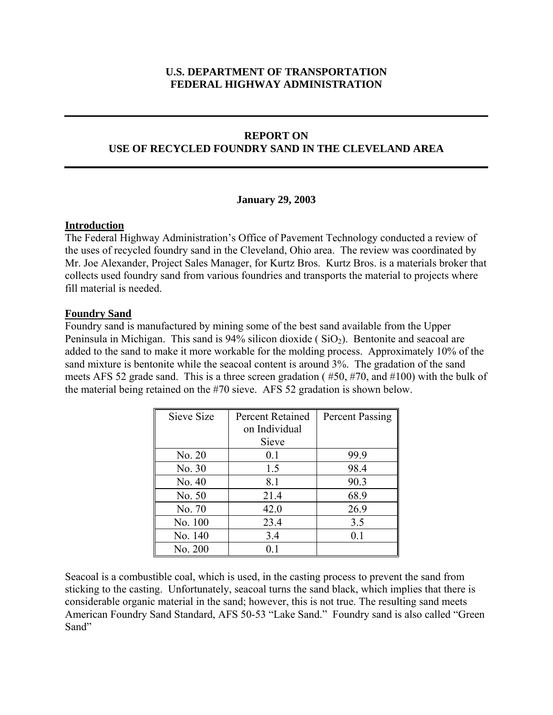# **U.S. DEPARTMENT OF TRANSPORTATION FEDERAL HIGHWAY ADMINISTRATION**

### **REPORT ON**

### **USE OF RECYCLED FOUNDRY SAND IN THE CLEVELAND AREA**

#### **January 29, 2003**

#### **Introduction**

The Federal Highway Administration's Office of Pavement Technology conducted a review of the uses of recycled foundry sand in the Cleveland, Ohio area. The review was coordinated by Mr. Joe Alexander, Project Sales Manager, for Kurtz Bros. Kurtz Bros. is a materials broker that collects used foundry sand from various foundries and transports the material to projects where fill material is needed.

#### **Foundry Sand**

Foundry sand is manufactured by mining some of the best sand available from the Upper Peninsula in Michigan. This sand is  $94\%$  silicon dioxide ( $SiO<sub>2</sub>$ ). Bentonite and seacoal are added to the sand to make it more workable for the molding process. Approximately 10% of the sand mixture is bentonite while the seacoal content is around 3%. The gradation of the sand meets AFS 52 grade sand. This is a three screen gradation ( #50, #70, and #100) with the bulk of the material being retained on the #70 sieve. AFS 52 gradation is shown below.

| Sieve Size | <b>Percent Retained</b><br>on Individual | Percent Passing |
|------------|------------------------------------------|-----------------|
|            | Sieve                                    |                 |
| No. 20     | 0.1                                      | 99.9            |
| No. 30     | 1.5                                      | 98.4            |
| No. 40     | 8.1                                      | 90.3            |
| No. 50     | 21.4                                     | 68.9            |
| No. 70     | 42.0                                     | 26.9            |
| No. 100    | 23.4                                     | 3.5             |
| No. 140    | 3.4                                      | 0.1             |
| No. 200    | 0 <sub>1</sub>                           |                 |

Seacoal is a combustible coal, which is used, in the casting process to prevent the sand from sticking to the casting. Unfortunately, seacoal turns the sand black, which implies that there is considerable organic material in the sand; however, this is not true. The resulting sand meets American Foundry Sand Standard, AFS 50-53 "Lake Sand." Foundry sand is also called "Green Sand"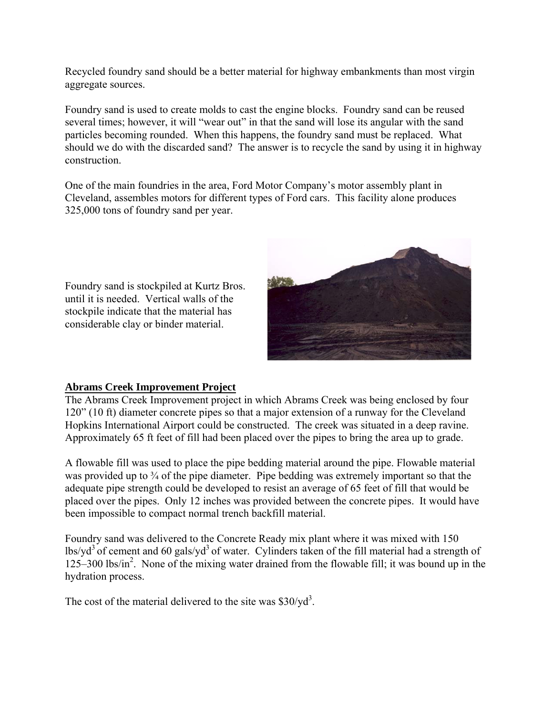Recycled foundry sand should be a better material for highway embankments than most virgin aggregate sources.

Foundry sand is used to create molds to cast the engine blocks. Foundry sand can be reused several times; however, it will "wear out" in that the sand will lose its angular with the sand particles becoming rounded. When this happens, the foundry sand must be replaced. What should we do with the discarded sand? The answer is to recycle the sand by using it in highway construction.

One of the main foundries in the area, Ford Motor Company's motor assembly plant in Cleveland, assembles motors for different types of Ford cars. This facility alone produces 325,000 tons of foundry sand per year.

Foundry sand is stockpiled at Kurtz Bros. until it is needed. Vertical walls of the stockpile indicate that the material has considerable clay or binder material.



## **Abrams Creek Improvement Project**

The Abrams Creek Improvement project in which Abrams Creek was being enclosed by four 120" (10 ft) diameter concrete pipes so that a major extension of a runway for the Cleveland Hopkins International Airport could be constructed. The creek was situated in a deep ravine. Approximately 65 ft feet of fill had been placed over the pipes to bring the area up to grade.

A flowable fill was used to place the pipe bedding material around the pipe. Flowable material was provided up to <sup>3</sup>/<sub>4</sub> of the pipe diameter. Pipe bedding was extremely important so that the adequate pipe strength could be developed to resist an average of 65 feet of fill that would be placed over the pipes. Only 12 inches was provided between the concrete pipes. It would have been impossible to compact normal trench backfill material.

Foundry sand was delivered to the Concrete Ready mix plant where it was mixed with 150  $\frac{1}{3}$  of cement and 60 gals/yd<sup>3</sup> of water. Cylinders taken of the fill material had a strength of 125–300 lbs/in<sup>2</sup>. None of the mixing water drained from the flowable fill; it was bound up in the hydration process.

The cost of the material delivered to the site was  $$30$ /yd<sup>3</sup>.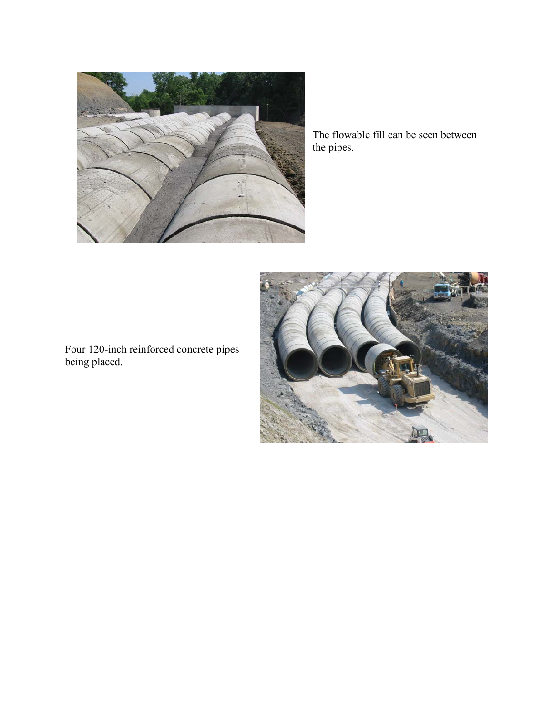

The flowable fill can be seen between the pipes.



Four 120-inch reinforced concrete pipes being placed.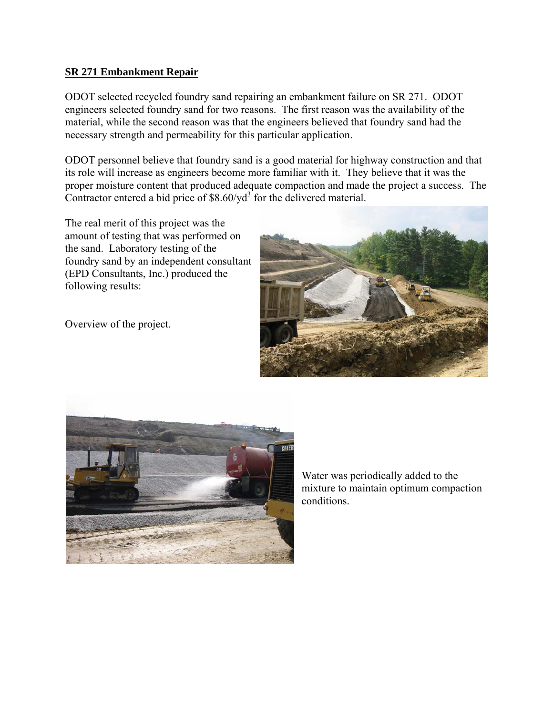### **SR 271 Embankment Repair**

ODOT selected recycled foundry sand repairing an embankment failure on SR 271. ODOT engineers selected foundry sand for two reasons. The first reason was the availability of the material, while the second reason was that the engineers believed that foundry sand had the necessary strength and permeability for this particular application.

ODOT personnel believe that foundry sand is a good material for highway construction and that its role will increase as engineers become more familiar with it. They believe that it was the proper moisture content that produced adequate compaction and made the project a success. The Contractor entered a bid price of  $$8.60/yd<sup>3</sup>$  for the delivered material.

The real merit of this project was the amount of testing that was performed on the sand. Laboratory testing of the foundry sand by an independent consultant (EPD Consultants, Inc.) produced the following results:







Water was periodically added to the mixture to maintain optimum compaction conditions.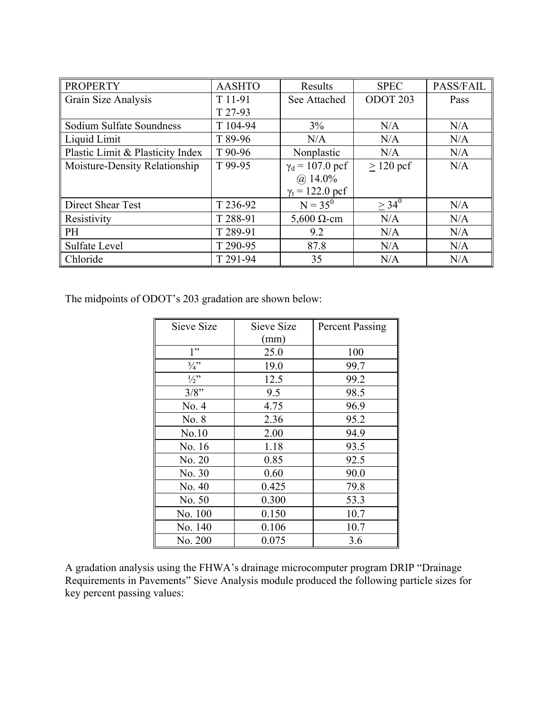| <b>PROPERTY</b>                  | <b>AASHTO</b> | Results                         | <b>SPEC</b>         | PASS/FAIL |
|----------------------------------|---------------|---------------------------------|---------------------|-----------|
| Grain Size Analysis              | T 11-91       | See Attached                    | ODOT <sub>203</sub> | Pass      |
|                                  | T 27-93       |                                 |                     |           |
| Sodium Sulfate Soundness         | T 104-94      | 3%                              | N/A                 | N/A       |
| Liquid Limit                     | T 89-96       | N/A                             | N/A                 | N/A       |
| Plastic Limit & Plasticity Index | T 90-96       | Nonplastic                      | N/A                 | N/A       |
| Moisture-Density Relationship    | T 99-95       | $\gamma_d$ = 107.0 pcf          | $>120$ pcf          | N/A       |
|                                  |               | $(a)$ 14.0%                     |                     |           |
|                                  |               | $\gamma_t = 122.0 \,\text{pcf}$ |                     |           |
| Direct Shear Test                | T 236-92      | $N = 35^{0}$                    | $> 34^{0}$          | N/A       |
| Resistivity                      | T 288-91      | $5,600 \Omega$ -cm              | N/A                 | N/A       |
| <b>PH</b>                        | T 289-91      | 9.2                             | N/A                 | N/A       |
| Sulfate Level                    | T 290-95      | 87.8                            | N/A                 | N/A       |
| Chloride                         | T 291-94      | 35                              | N/A                 | N/A       |

The midpoints of ODOT's 203 gradation are shown below:

| Sieve Size      | Sieve Size | <b>Percent Passing</b> |
|-----------------|------------|------------------------|
|                 | (mm)       |                        |
| 1"              | 25.0       | 100                    |
| $\frac{3}{4}$ " | 19.0       | 99.7                   |
| $\frac{1}{2}$ " | 12.5       | 99.2                   |
| 3/8"            | 9.5        | 98.5                   |
| No. 4           | 4.75       | 96.9                   |
| No. 8           | 2.36       | 95.2                   |
| No.10           | 2.00       | 94.9                   |
| No. 16          | 1.18       | 93.5                   |
| No. 20          | 0.85       | 92.5                   |
| No. 30          | 0.60       | 90.0                   |
| No. 40          | 0.425      | 79.8                   |
| No. 50          | 0.300      | 53.3                   |
| No. 100         | 0.150      | 10.7                   |
| No. 140         | 0.106      | 10.7                   |
| No. 200         | 0.075      | 3.6                    |

A gradation analysis using the FHWA's drainage microcomputer program DRIP "Drainage Requirements in Pavements" Sieve Analysis module produced the following particle sizes for key percent passing values: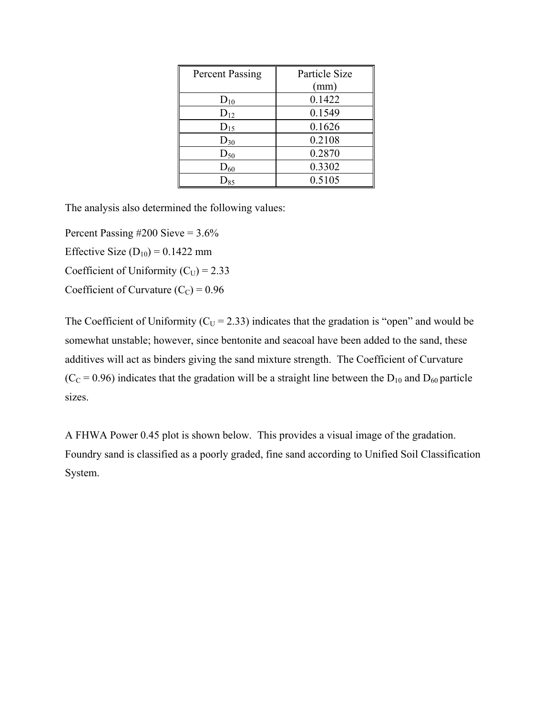| <b>Percent Passing</b> | Particle Size |
|------------------------|---------------|
|                        | (mm)          |
| $D_{10}$               | 0.1422        |
| $D_{12}$               | 0.1549        |
| $D_{15}$               | 0.1626        |
| $D_{30}$               | 0.2108        |
| $D_{50}$               | 0.2870        |
| $D_{60}$               | 0.3302        |
| $\mathrm{D_{85}}$      | 0.5105        |

The analysis also determined the following values:

Percent Passing  $\#200$  Sieve = 3.6%

Effective Size  $(D_{10}) = 0.1422$  mm

Coefficient of Uniformity  $(C_U) = 2.33$ 

Coefficient of Curvature  $(C_C) = 0.96$ 

The Coefficient of Uniformity ( $C_U$  = 2.33) indicates that the gradation is "open" and would be somewhat unstable; however, since bentonite and seacoal have been added to the sand, these additives will act as binders giving the sand mixture strength. The Coefficient of Curvature  $(C<sub>C</sub> = 0.96)$  indicates that the gradation will be a straight line between the D<sub>10</sub> and D<sub>60</sub> particle sizes.

A FHWA Power 0.45 plot is shown below. This provides a visual image of the gradation. Foundry sand is classified as a poorly graded, fine sand according to Unified Soil Classification System.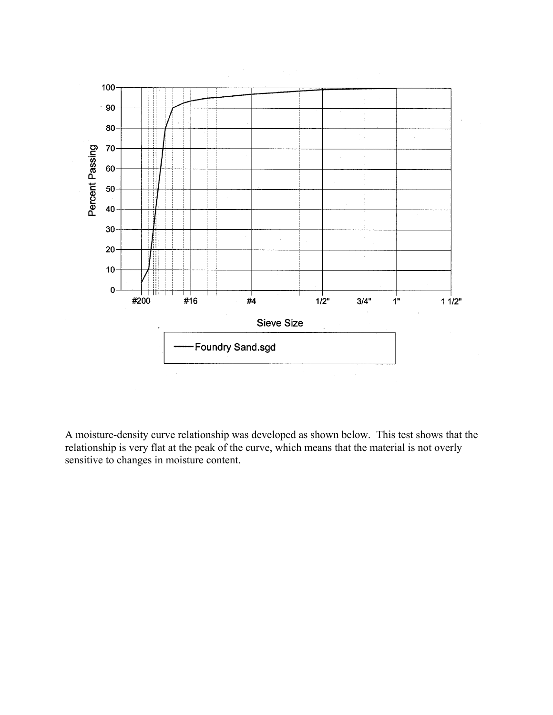

A moisture-density curve relationship was developed as shown below. This test shows that the relationship is very flat at the peak of the curve, which means that the material is not overly sensitive to changes in moisture content.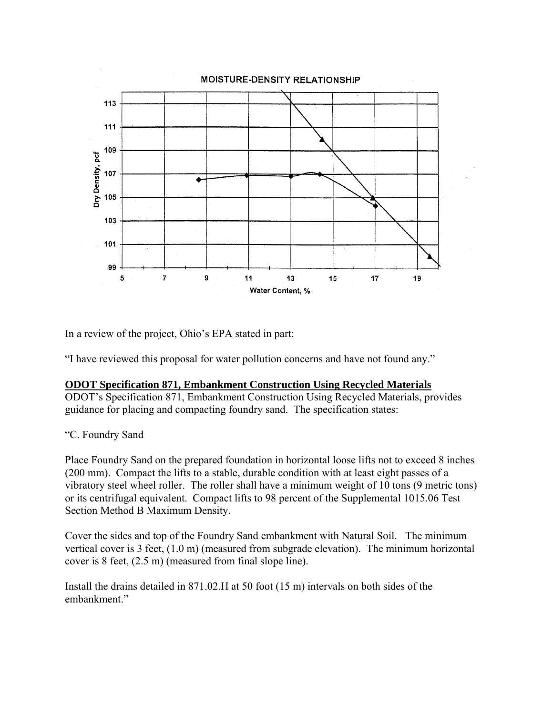

In a review of the project, Ohio's EPA stated in part:

"I have reviewed this proposal for water pollution concerns and have not found any."

## **ODOT Specification 871, Embankment Construction Using Recycled Materials**

ODOT's Specification 871, Embankment Construction Using Recycled Materials, provides guidance for placing and compacting foundry sand. The specification states:

## "C. Foundry Sand

Place Foundry Sand on the prepared foundation in horizontal loose lifts not to exceed 8 inches (200 mm). Compact the lifts to a stable, durable condition with at least eight passes of a vibratory steel wheel roller. The roller shall have a minimum weight of 10 tons (9 metric tons) or its centrifugal equivalent. Compact lifts to 98 percent of the Supplemental 1015.06 Test Section Method B Maximum Density.

Cover the sides and top of the Foundry Sand embankment with Natural Soil. The minimum vertical cover is 3 feet, (1.0 m) (measured from subgrade elevation). The minimum horizontal cover is 8 feet, (2.5 m) (measured from final slope line).

Install the drains detailed in 871.02.H at 50 foot (15 m) intervals on both sides of the embankment"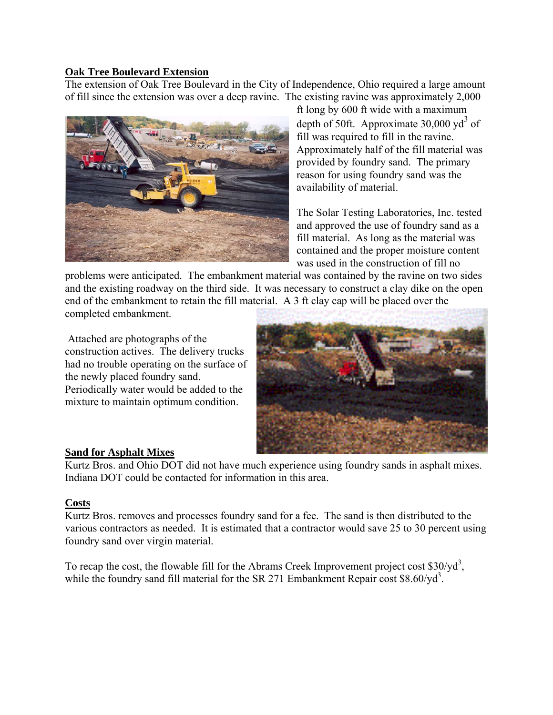### **Oak Tree Boulevard Extension**

The extension of Oak Tree Boulevard in the City of Independence, Ohio required a large amount of fill since the extension was over a deep ravine. The existing ravine was approximately 2,000



ft long by 600 ft wide with a maximum depth of 50ft. Approximate  $30,000 \text{ yd}^3$  of fill was required to fill in the ravine. Approximately half of the fill material was provided by foundry sand. The primary reason for using foundry sand was the availability of material.

The Solar Testing Laboratories, Inc. tested and approved the use of foundry sand as a fill material. As long as the material was contained and the proper moisture content was used in the construction of fill no

problems were anticipated. The embankment material was contained by the ravine on two sides and the existing roadway on the third side. It was necessary to construct a clay dike on the open end of the embankment to retain the fill material. A 3 ft clay cap will be placed over the completed embankment.

 Attached are photographs of the construction actives. The delivery trucks had no trouble operating on the surface of the newly placed foundry sand. Periodically water would be added to the mixture to maintain optimum condition.



## **Sand for Asphalt Mixes**

Kurtz Bros. and Ohio DOT did not have much experience using foundry sands in asphalt mixes. Indiana DOT could be contacted for information in this area.

## **Costs**

Kurtz Bros. removes and processes foundry sand for a fee. The sand is then distributed to the various contractors as needed. It is estimated that a contractor would save 25 to 30 percent using foundry sand over virgin material.

To recap the cost, the flowable fill for the Abrams Creek Improvement project cost  $$30/yd^3$ , while the foundry sand fill material for the SR 271 Embankment Repair cost  $$8.60/\text{yd}^3$ .